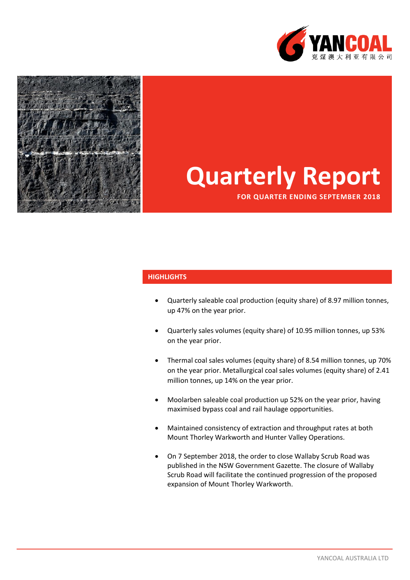



# **Quarterly Report**

**FOR QUARTER ENDING SEPTEMBER 2018**

#### **HIGHLIGHTS**

- Quarterly saleable coal production (equity share) of 8.97 million tonnes, up 47% on the year prior.
- Quarterly sales volumes (equity share) of 10.95 million tonnes, up 53% on the year prior.
- Thermal coal sales volumes (equity share) of 8.54 million tonnes, up 70% on the year prior. Metallurgical coal sales volumes (equity share) of 2.41 million tonnes, up 14% on the year prior.
- Moolarben saleable coal production up 52% on the year prior, having maximised bypass coal and rail haulage opportunities.
- Maintained consistency of extraction and throughput rates at both Mount Thorley Warkworth and Hunter Valley Operations.
- On 7 September 2018, the order to close Wallaby Scrub Road was published in the NSW Government Gazette. The closure of Wallaby Scrub Road will facilitate the continued progression of the proposed expansion of Mount Thorley Warkworth.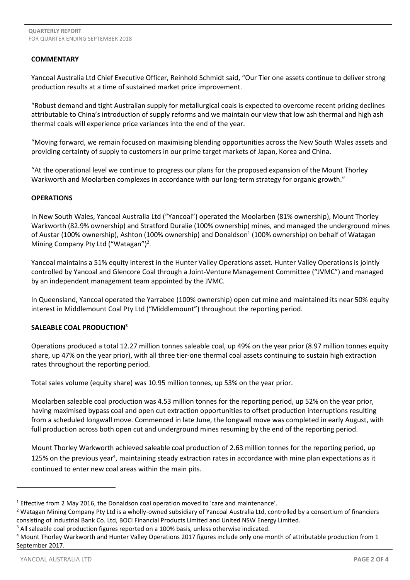## **COMMENTARY**

Yancoal Australia Ltd Chief Executive Officer, Reinhold Schmidt said, "Our Tier one assets continue to deliver strong production results at a time of sustained market price improvement.

"Robust demand and tight Australian supply for metallurgical coals is expected to overcome recent pricing declines attributable to China's introduction of supply reforms and we maintain our view that low ash thermal and high ash thermal coals will experience price variances into the end of the year.

"Moving forward, we remain focused on maximising blending opportunities across the New South Wales assets and providing certainty of supply to customers in our prime target markets of Japan, Korea and China.

"At the operational level we continue to progress our plans for the proposed expansion of the Mount Thorley Warkworth and Moolarben complexes in accordance with our long-term strategy for organic growth."

## **OPERATIONS**

In New South Wales, Yancoal Australia Ltd ("Yancoal") operated the Moolarben (81% ownership), Mount Thorley Warkworth (82.9% ownership) and Stratford Duralie (100% ownership) mines, and managed the underground mines of Austar (100% ownership), Ashton (100% ownership) and Donaldson<sup>1</sup> (100% ownership) on behalf of Watagan Mining Company Pty Ltd ("Watagan")<sup>2</sup>.

Yancoal maintains a 51% equity interest in the Hunter Valley Operations asset. Hunter Valley Operations is jointly controlled by Yancoal and Glencore Coal through a Joint-Venture Management Committee ("JVMC") and managed by an independent management team appointed by the JVMC.

In Queensland, Yancoal operated the Yarrabee (100% ownership) open cut mine and maintained its near 50% equity interest in Middlemount Coal Pty Ltd ("Middlemount") throughout the reporting period.

## **SALEABLE COAL PRODUCTION<sup>3</sup>**

Operations produced a total 12.27 million tonnes saleable coal, up 49% on the year prior (8.97 million tonnes equity share, up 47% on the year prior), with all three tier-one thermal coal assets continuing to sustain high extraction rates throughout the reporting period.

Total sales volume (equity share) was 10.95 million tonnes, up 53% on the year prior.

Moolarben saleable coal production was 4.53 million tonnes for the reporting period, up 52% on the year prior, having maximised bypass coal and open cut extraction opportunities to offset production interruptions resulting from a scheduled longwall move. Commenced in late June, the longwall move was completed in early August, with full production across both open cut and underground mines resuming by the end of the reporting period.

<span id="page-1-0"></span>Mount Thorley Warkworth achieved saleable coal production of 2.63 million tonnes for the reporting period, up 125% on the previous year<sup>4</sup>, maintaining steady extraction rates in accordance with mine plan expectations as it continued to enter new coal areas within the main pits.

1

<sup>&</sup>lt;sup>1</sup> Effective from 2 May 2016, the Donaldson coal operation moved to 'care and maintenance'.

<sup>&</sup>lt;sup>2</sup> Watagan Mining Company Pty Ltd is a wholly-owned subsidiary of Yancoal Australia Ltd, controlled by a consortium of financiers consisting of Industrial Bank Co. Ltd, BOCI Financial Products Limited and United NSW Energy Limited.

<sup>&</sup>lt;sup>3</sup> All saleable coal production figures reported on a 100% basis, unless otherwise indicated.

<sup>&</sup>lt;sup>4</sup> Mount Thorley Warkworth and Hunter Valley Operations 2017 figures include only one month of attributable production from 1 September 2017.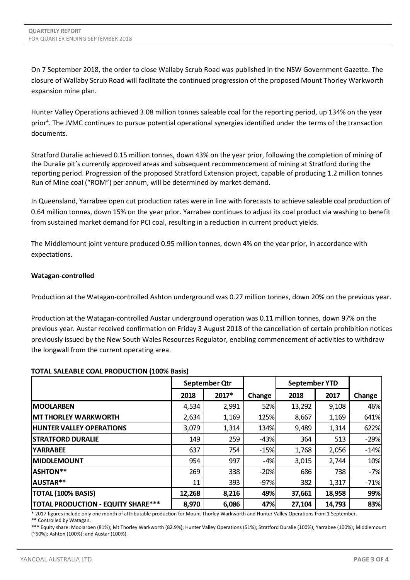On 7 September 2018, the order to close Wallaby Scrub Road was published in the NSW Government Gazette. The closure of Wallaby Scrub Road will facilitate the continued progression of the proposed Mount Thorley Warkworth expansion mine plan.

Hunter Valley Operations achieved 3.08 million tonnes saleable coal for the reporting period, up 134% on the year prior<sup>4</sup>[.](#page-1-0) The JVMC continues to pursue potential operational synergies identified under the terms of the transaction documents.

Stratford Duralie achieved 0.15 million tonnes, down 43% on the year prior, following the completion of mining of the Duralie pit's currently approved areas and subsequent recommencement of mining at Stratford during the reporting period. Progression of the proposed Stratford Extension project, capable of producing 1.2 million tonnes Run of Mine coal ("ROM") per annum, will be determined by market demand.

In Queensland, Yarrabee open cut production rates were in line with forecasts to achieve saleable coal production of 0.64 million tonnes, down 15% on the year prior. Yarrabee continues to adjust its coal product via washing to benefit from sustained market demand for PCI coal, resulting in a reduction in current product yields.

The Middlemount joint venture produced 0.95 million tonnes, down 4% on the year prior, in accordance with expectations.

## **Watagan-controlled**

Production at the Watagan-controlled Ashton underground was 0.27 million tonnes, down 20% on the previous year.

Production at the Watagan-controlled Austar underground operation was 0.11 million tonnes, down 97% on the previous year. Austar received confirmation on Friday 3 August 2018 of the cancellation of certain prohibition notices previously issued by the New South Wales Resources Regulator, enabling commencement of activities to withdraw the longwall from the current operating area.

## **TOTAL SALEABLE COAL PRODUCTION (100% Basis)**

|                                    | September Qtr |       |        | <b>September YTD</b> |        |        |
|------------------------------------|---------------|-------|--------|----------------------|--------|--------|
|                                    | 2018          | 2017* | Change | 2018                 | 2017   | Change |
| <b>IMOOLARBEN</b>                  | 4,534         | 2,991 | 52%    | 13,292               | 9,108  | 46%    |
| <b>MT THORLEY WARKWORTH</b>        | 2,634         | 1,169 | 125%   | 8,667                | 1,169  | 641%   |
| <b>HUNTER VALLEY OPERATIONS</b>    | 3,079         | 1,314 | 134%   | 9,489                | 1,314  | 622%   |
| <b>ISTRATFORD DURALIE</b>          | 149           | 259   | $-43%$ | 364                  | 513    | $-29%$ |
| <b>YARRABEE</b>                    | 637           | 754   | $-15%$ | 1,768                | 2,056  | $-14%$ |
| <b>IMIDDLEMOUNT</b>                | 954           | 997   | $-4%$  | 3,015                | 2,744  | 10%    |
| <b>ASHTON**</b>                    | 269           | 338   | $-20%$ | 686                  | 738    | $-7%$  |
| AUSTAR**                           | 11            | 393   | $-97%$ | 382                  | 1,317  | $-71%$ |
| <b>TOTAL (100% BASIS)</b>          | 12,268        | 8,216 | 49%    | 37,661               | 18,958 | 99%    |
| TOTAL PRODUCTION - EQUITY SHARE*** | 8,970         | 6,086 | 47%    | 27,104               | 14,793 | 83%    |

\* 2017 figures include only one month of attributable production for Mount Thorley Warkworth and Hunter Valley Operations from 1 September.

\*\* Controlled by Watagan.

\*\*\* Equity share: Moolarben (81%); Mt Thorley Warkworth (82.9%); Hunter Valley Operations (51%); Stratford Duralie (100%); Yarrabee (100%); Middlemount (~50%); Ashton (100%); and Austar (100%).